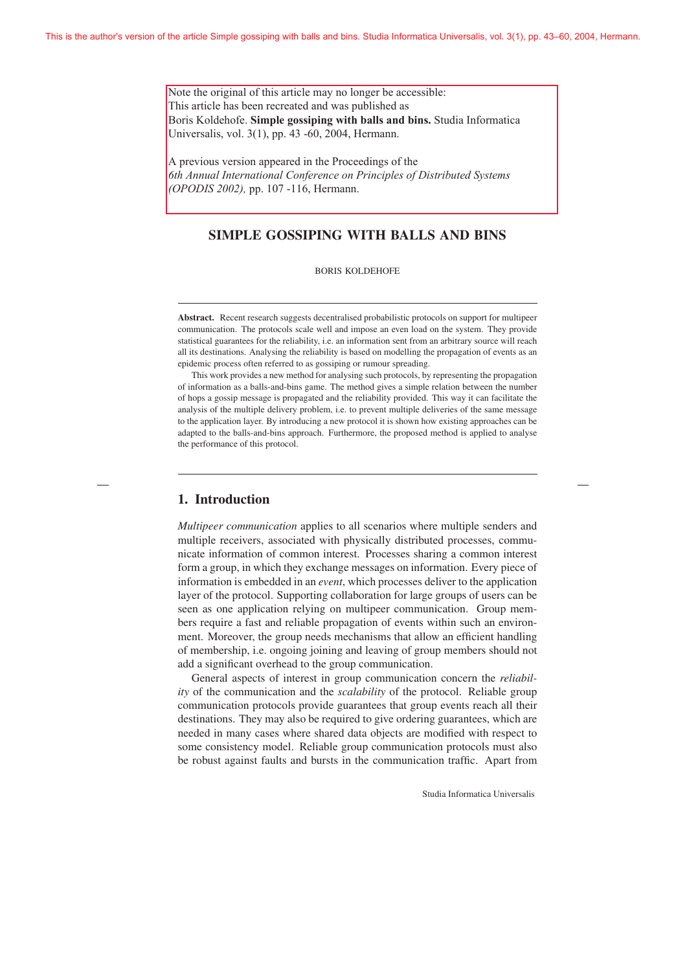Note the original of this article may no longer be accessible: This article has been recreated and was published as Boris Koldehofe. **Simple gossiping with balls and bins.** Studia Informatica Universalis, vol. 3(1), pp. 43 -60, 2004, Hermann.

A previous version appeared in the Proceedings of the *6th Annual International Conference on Principles of Distributed Systems (OPODIS 2002),* pp. 107 -116, Hermann.

# SIMPLE GOSSIPING WITH BALLS AND BINS

BORIS KOLDEHOFE

Abstract. Recent research suggests decentralised probabilistic protocols on support for multipeer communication. The protocols scale well and impose an even load on the system. They provide statistical guarantees for the reliability, i.e. an information sent from an arbitrary source will reach all its destinations. Analysing the reliability is based on modelling the propagation of events as an epidemic process often referred to as gossiping or rumour spreading.

This work provides a new method for analysing such protocols, by representing the propagation of information as a balls-and-bins game. The method gives a simple relation between the number of hops a gossip message is propagated and the reliability provided. This way it can facilitate the analysis of the multiple delivery problem, i.e. to prevent multiple deliveries of the same message to the application layer. By introducing a new protocol it is shown how existing approaches can be adapted to the balls-and-bins approach. Furthermore, the proposed method is applied to analyse the performance of this protocol.

## 1. Introduction

*Multipeer communication* applies to all scenarios where multiple senders and multiple receivers, associated with physically distributed processes, communicate information of common interest. Processes sharing a common interest form a group, in which they exchange messages on information. Every piece of information is embedded in an *event*, which processes deliver to the application layer of the protocol. Supporting collaboration for large groups of users can be seen as one application relying on multipeer communication. Group members require a fast and reliable propagation of events within such an environment. Moreover, the group needs mechanisms that allow an efficient handling of membership, i.e. ongoing joining and leaving of group members should not add a significant overhead to the group communication.

General aspects of interest in group communication concern the *reliability* of the communication and the *scalability* of the protocol. Reliable group communication protocols provide guarantees that group events reach all their destinations. They may also be required to give ordering guarantees, which are needed in many cases where shared data objects are modified with respect to some consistency model. Reliable group communication protocols must also be robust against faults and bursts in the communication traffic. Apart from

Studia Informatica Universalis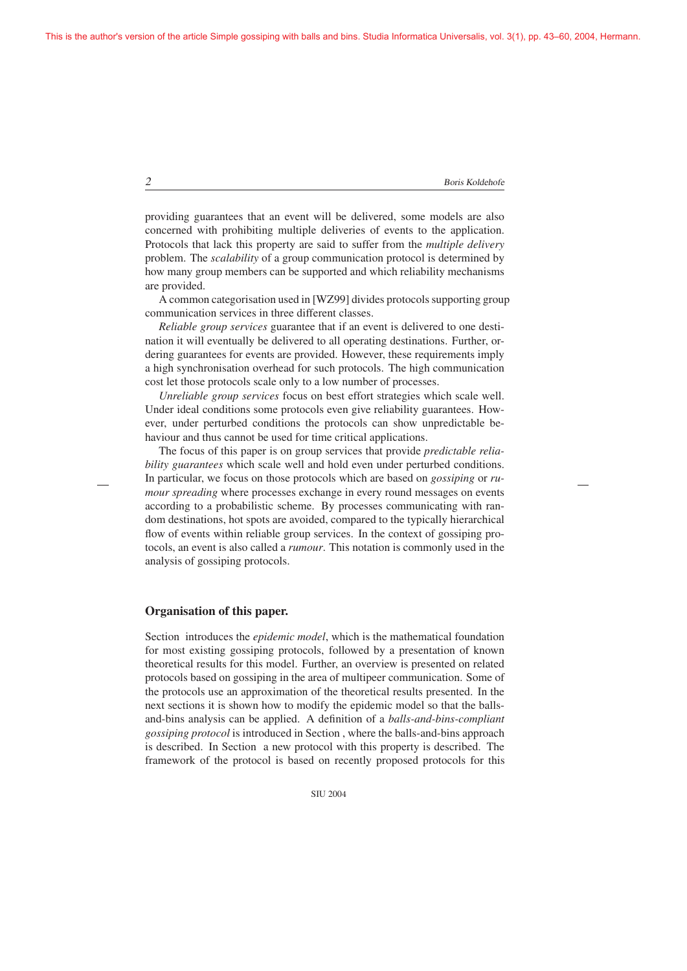providing guarantees that an event will be delivered, some models are also concerned with prohibiting multiple deliveries of events to the application. Protocols that lack this property are said to suffer from the *multiple delivery* problem. The *scalability* of a group communication protocol is determined by how many group members can be supported and which reliability mechanisms are provided.

A common categorisation used in [WZ99] divides protocols supporting group communication services in three different classes.

*Reliable group services* guarantee that if an event is delivered to one destination it will eventually be delivered to all operating destinations. Further, ordering guarantees for events are provided. However, these requirements imply a high synchronisation overhead for such protocols. The high communication cost let those protocols scale only to a low number of processes.

*Unreliable group services* focus on best effort strategies which scale well. Under ideal conditions some protocols even give reliability guarantees. However, under perturbed conditions the protocols can show unpredictable behaviour and thus cannot be used for time critical applications.

The focus of this paper is on group services that provide *predictable reliability guarantees* which scale well and hold even under perturbed conditions. In particular, we focus on those protocols which are based on *gossiping* or *rumour spreading* where processes exchange in every round messages on events according to a probabilistic scheme. By processes communicating with random destinations, hot spots are avoided, compared to the typically hierarchical flow of events within reliable group services. In the context of gossiping protocols, an event is also called a *rumour*. This notation is commonly used in the analysis of gossiping protocols.

#### Organisation of this paper.

Section introduces the *epidemic model*, which is the mathematical foundation for most existing gossiping protocols, followed by a presentation of known theoretical results for this model. Further, an overview is presented on related protocols based on gossiping in the area of multipeer communication. Some of the protocols use an approximation of the theoretical results presented. In the next sections it is shown how to modify the epidemic model so that the ballsand-bins analysis can be applied. A definition of a *balls-and-bins-compliant gossiping protocol* is introduced in Section , where the balls-and-bins approach is described. In Section a new protocol with this property is described. The framework of the protocol is based on recently proposed protocols for this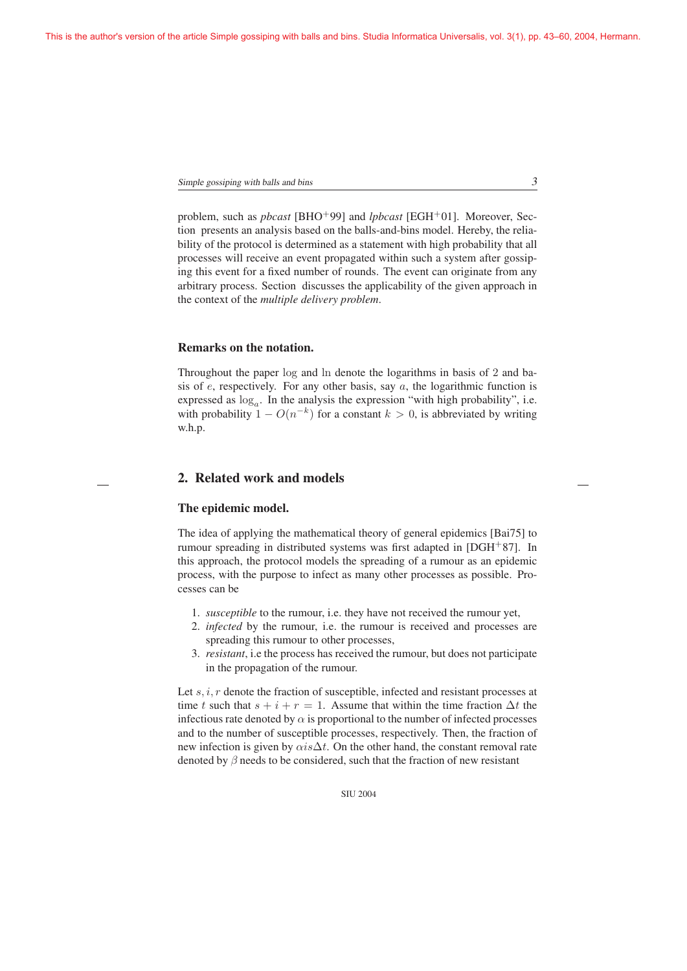Simple gossiping with balls and bins  $3<sup>3</sup>$ 

problem, such as *pbcast* [BHO+99] and *lpbcast* [EGH+01]. Moreover, Section presents an analysis based on the balls-and-bins model. Hereby, the reliability of the protocol is determined as a statement with high probability that all processes will receive an event propagated within such a system after gossiping this event for a fixed number of rounds. The event can originate from any arbitrary process. Section discusses the applicability of the given approach in the context of the *multiple delivery problem*.

## Remarks on the notation.

Throughout the paper log and ln denote the logarithms in basis of 2 and basis of  $e$ , respectively. For any other basis, say  $a$ , the logarithmic function is expressed as  $log_a$ . In the analysis the expression "with high probability", i.e. with probability  $1 - O(n^{-k})$  for a constant  $k > 0$ , is abbreviated by writing w.h.p.

# 2. Related work and models

### The epidemic model.

The idea of applying the mathematical theory of general epidemics [Bai75] to rumour spreading in distributed systems was first adapted in [DGH+87]. In this approach, the protocol models the spreading of a rumour as an epidemic process, with the purpose to infect as many other processes as possible. Processes can be

- 1. *susceptible* to the rumour, i.e. they have not received the rumour yet,
- 2. *infected* by the rumour, i.e. the rumour is received and processes are spreading this rumour to other processes,
- 3. *resistant*, i.e the process has received the rumour, but does not participate in the propagation of the rumour.

Let  $s, i, r$  denote the fraction of susceptible, infected and resistant processes at time t such that  $s + i + r = 1$ . Assume that within the time fraction  $\Delta t$  the infectious rate denoted by  $\alpha$  is proportional to the number of infected processes and to the number of susceptible processes, respectively. Then, the fraction of new infection is given by  $\alpha i s \Delta t$ . On the other hand, the constant removal rate denoted by  $\beta$  needs to be considered, such that the fraction of new resistant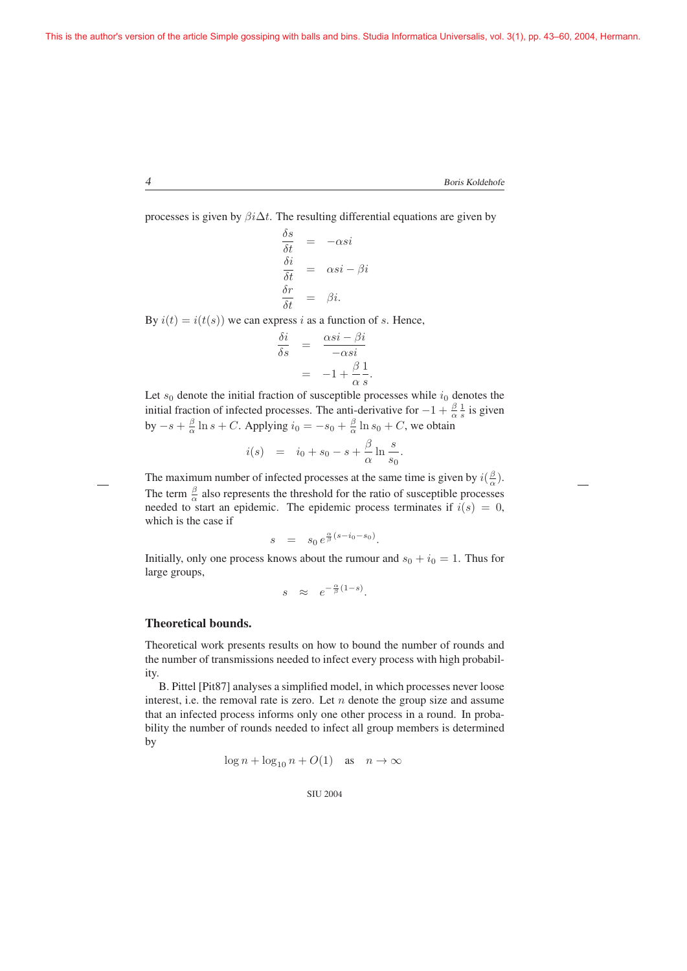processes is given by  $\beta i \Delta t$ . The resulting differential equations are given by

$$
\frac{\delta s}{\delta t} = -\alpha s i
$$
  
\n
$$
\frac{\delta i}{\delta t} = \alpha s i - \beta i
$$
  
\n
$$
\frac{\delta r}{\delta t} = \beta i.
$$

By  $i(t) = i(t(s))$  we can express i as a function of s. Hence,

$$
\frac{\delta i}{\delta s} = \frac{\alpha s i - \beta i}{-\alpha s i}
$$

$$
= -1 + \frac{\beta}{\alpha} \frac{1}{s}
$$

.

Let  $s_0$  denote the initial fraction of susceptible processes while  $i_0$  denotes the initial fraction of infected processes. The anti-derivative for  $-1 + \frac{\beta}{\alpha} \frac{1}{s}$  is given<br>by  $\alpha + \frac{\beta}{\alpha} \ln \alpha + C$ , Applying  $\beta$ by  $-s + \frac{\beta}{\alpha} \ln s + C$ . Applying  $i_0 = -s_0 + \frac{\beta}{\alpha} \ln s_0 + C$ , we obtain

$$
i(s)
$$
 =  $i_0 + s_0 - s + \frac{\beta}{\alpha} \ln \frac{s}{s_0}$ .

The maximum number of infected processes at the same time is given by  $i(\frac{\beta}{\alpha})$ .<br>The term  $\beta$  also approach the threshold for the usin of approximately approach The term  $\frac{\beta}{\alpha}$  also represents the threshold for the ratio of susceptible processes needed to start an epidemic. The epidemic process terminates if  $i(s)=0$ , which is the case if

$$
s = s_0 e^{\frac{\alpha}{\beta}(s-i_0-s_0)}.
$$

Initially, only one process knows about the rumour and  $s_0 + i_0 = 1$ . Thus for large groups,

$$
s \approx e^{-\frac{\alpha}{\beta}(1-s)}.
$$

## Theoretical bounds.

Theoretical work presents results on how to bound the number of rounds and the number of transmissions needed to infect every process with high probability.

B. Pittel [Pit87] analyses a simplified model, in which processes never loose interest, i.e. the removal rate is zero. Let  $n$  denote the group size and assume that an infected process informs only one other process in a round. In probability the number of rounds needed to infect all group members is determined by

$$
\log n + \log_{10} n + O(1) \quad \text{as} \quad n \to \infty
$$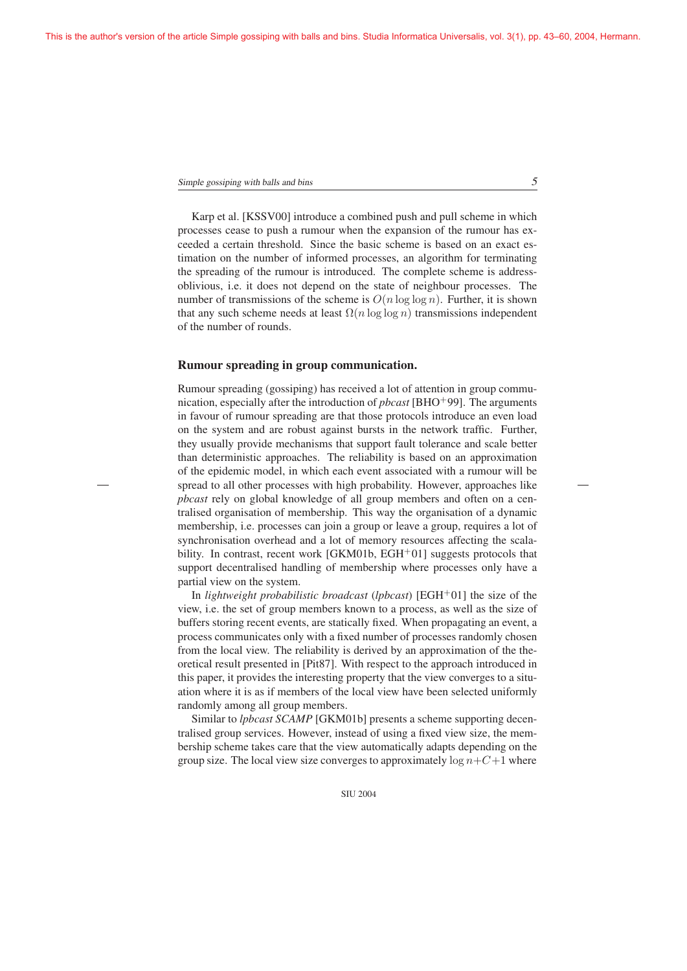Karp et al. [KSSV00] introduce a combined push and pull scheme in which processes cease to push a rumour when the expansion of the rumour has exceeded a certain threshold. Since the basic scheme is based on an exact estimation on the number of informed processes, an algorithm for terminating the spreading of the rumour is introduced. The complete scheme is addressoblivious, i.e. it does not depend on the state of neighbour processes. The number of transmissions of the scheme is  $O(n \log \log n)$ . Further, it is shown that any such scheme needs at least  $\Omega(n \log \log n)$  transmissions independent of the number of rounds.

#### Rumour spreading in group communication.

Rumour spreading (gossiping) has received a lot of attention in group communication, especially after the introduction of *pbcast* [BHO<sup>+</sup>99]. The arguments in favour of rumour spreading are that those protocols introduce an even load on the system and are robust against bursts in the network traffic. Further, they usually provide mechanisms that support fault tolerance and scale better than deterministic approaches. The reliability is based on an approximation of the epidemic model, in which each event associated with a rumour will be spread to all other processes with high probability. However, approaches like *pbcast* rely on global knowledge of all group members and often on a centralised organisation of membership. This way the organisation of a dynamic membership, i.e. processes can join a group or leave a group, requires a lot of synchronisation overhead and a lot of memory resources affecting the scalability. In contrast, recent work [GKM01b, EGH+01] suggests protocols that support decentralised handling of membership where processes only have a partial view on the system.

In *lightweight probabilistic broadcast* (*lpbcast*) [EGH<sup>+</sup>01] the size of the view, i.e. the set of group members known to a process, as well as the size of buffers storing recent events, are statically fixed. When propagating an event, a process communicates only with a fixed number of processes randomly chosen from the local view. The reliability is derived by an approximation of the theoretical result presented in [Pit87]. With respect to the approach introduced in this paper, it provides the interesting property that the view converges to a situation where it is as if members of the local view have been selected uniformly randomly among all group members.

Similar to *lpbcast SCAMP* [GKM01b] presents a scheme supporting decentralised group services. However, instead of using a fixed view size, the membership scheme takes care that the view automatically adapts depending on the group size. The local view size converges to approximately  $\log n + C + 1$  where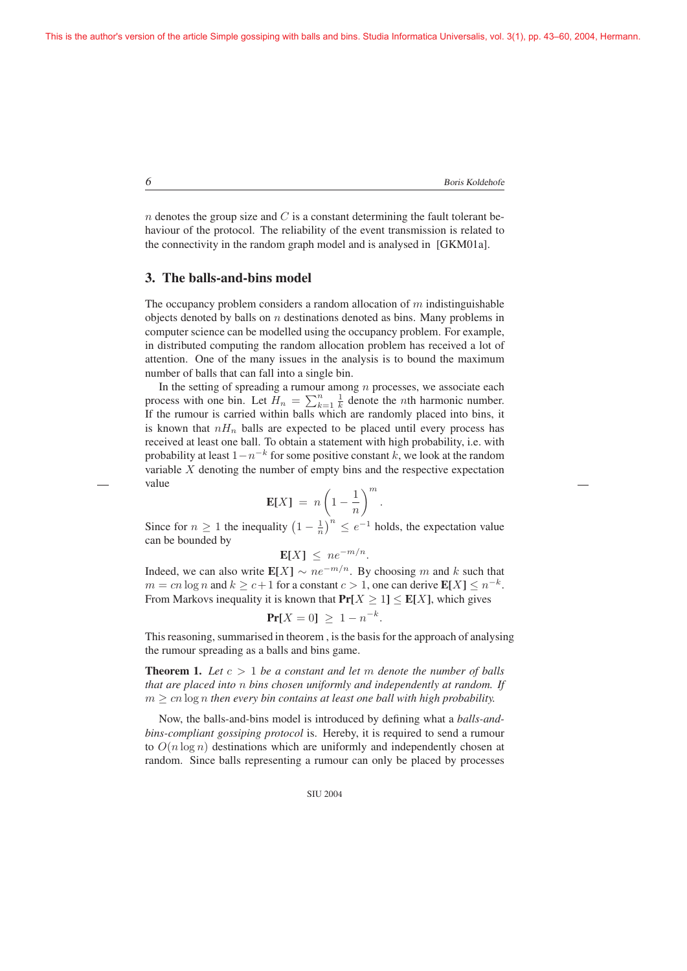n denotes the group size and  $C$  is a constant determining the fault tolerant behaviour of the protocol. The reliability of the event transmission is related to the connectivity in the random graph model and is analysed in [GKM01a].

## 3. The balls-and-bins model

The occupancy problem considers a random allocation of  $m$  indistinguishable objects denoted by balls on  $n$  destinations denoted as bins. Many problems in computer science can be modelled using the occupancy problem. For example, in distributed computing the random allocation problem has received a lot of attention. One of the many issues in the analysis is to bound the maximum number of balls that can fall into a single bin.

In the setting of spreading a rumour among  $n$  processes, we associate each process with one bin. Let  $\overline{H}_n = \sum_{k=1}^n \frac{1}{k}$  denote the *n*th harmonic number.<br>If the rumour is carried within balls which are randomly placed into hins it If the rumour is carried within balls which are randomly placed into bins, it is known that  $nH_n$  balls are expected to be placed until every process has received at least one ball. To obtain a statement with high probability, i.e. with probability at least  $1-n^{-k}$  for some positive constant k, we look at the random variable X denoting the number of empty bins and the respective expectation value

$$
\mathbf{E}[X] = n \left(1 - \frac{1}{n}\right)^m
$$

.

Since for  $n \ge 1$  the inequality  $\left(1 - \frac{1}{n}\right)^n \le e^{-1}$  holds, the expectation value can be bounded by

$$
\mathbf{E}[X] \leq ne^{-m/n}.
$$

Indeed, we can also write  $E[X] \sim ne^{-m/n}$ . By choosing m and k such that  $m = cn \log n$  and  $k \ge c+1$  for a constant  $c > 1$ , one can derive  $\mathbf{E}[X] \le n^{-k}$ . From Markovs inequality it is known that  $Pr[X \ge 1] \le E[X]$ , which gives

$$
\Pr[X=0] \ge 1 - n^{-k}.
$$

This reasoning, summarised in theorem , is the basis for the approach of analysing the rumour spreading as a balls and bins game.

Theorem 1. *Let* c > 1 *be a constant and let* <sup>m</sup> *denote the number of balls that are placed into* n *bins chosen uniformly and independently at random. If*  $m \geq cn \log n$  *then every bin contains at least one ball with high probability.* 

Now, the balls-and-bins model is introduced by defining what a *balls-andbins-compliant gossiping protocol* is. Hereby, it is required to send a rumour to  $O(n \log n)$  destinations which are uniformly and independently chosen at random. Since balls representing a rumour can only be placed by processes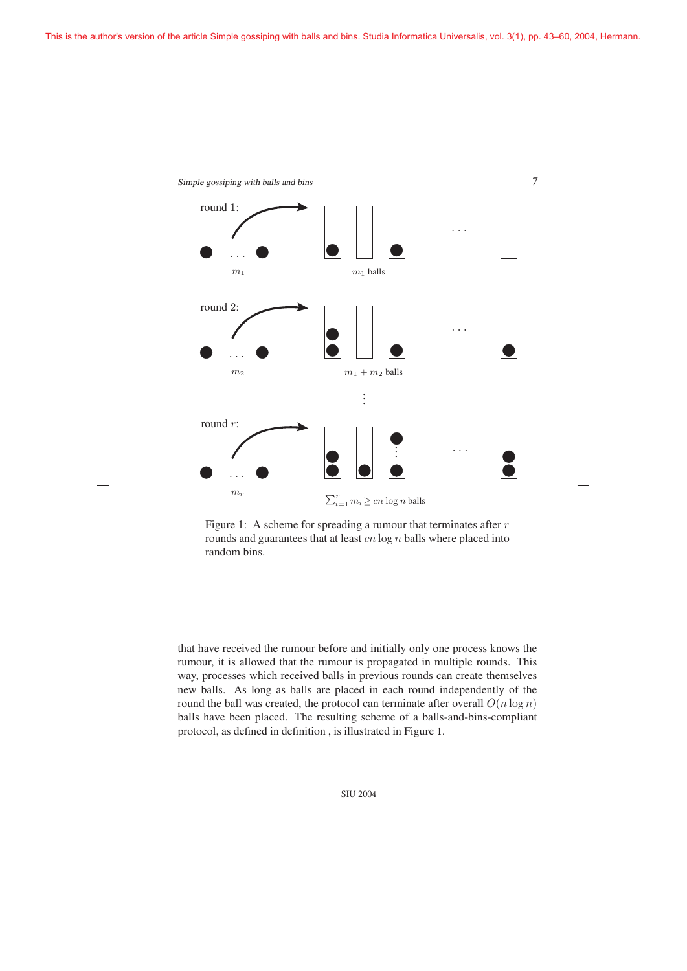

Figure 1: A scheme for spreading a rumour that terminates after  $r$ rounds and guarantees that at least  $cn \log n$  balls where placed into random bins.

that have received the rumour before and initially only one process knows the rumour, it is allowed that the rumour is propagated in multiple rounds. This way, processes which received balls in previous rounds can create themselves new balls. As long as balls are placed in each round independently of the round the ball was created, the protocol can terminate after overall  $O(n \log n)$ balls have been placed. The resulting scheme of a balls-and-bins-compliant protocol, as defined in definition , is illustrated in Figure 1.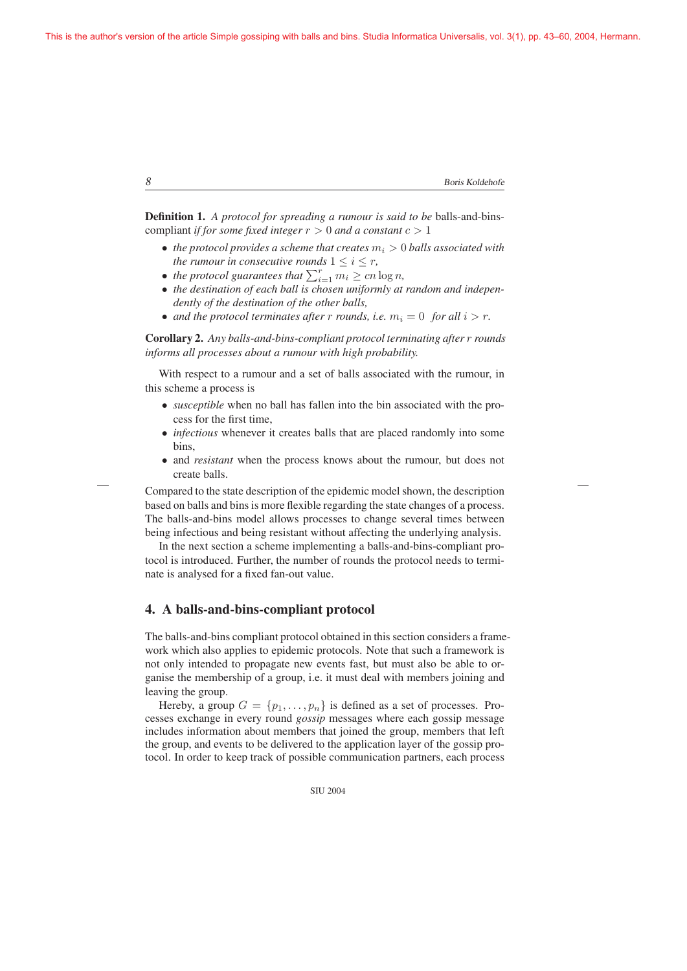```
8 Boris Koldehofe
```
Definition 1. *A protocol for spreading a rumour is said to be* balls-and-binscompliant *if for some fixed integer*  $r > 0$  *and a constant*  $c > 1$ 

- *the protocol provides a scheme that creates*  $m_i > 0$  *balls associated with the rumour in consecutive rounds*  $1 \leq i \leq r$ ,
- *the protocol guarantees that*  $\sum_{i=1}^{r} m_i \geq cn \log n$ ,<br>• *the destination of each ball is chosen uniformly at*
- *the destination of each ball is chosen uniformly at random and independently of the destination of the other balls,*
- *and the protocol terminates after* r *rounds, i.e.*  $m_i = 0$  *for all*  $i > r$ *.*

Corollary 2. *Any balls-and-bins-compliant protocol terminating after* r *rounds informs all processes about a rumour with high probability.*

With respect to a rumour and a set of balls associated with the rumour, in this scheme a process is

- *susceptible* when no ball has fallen into the bin associated with the process for the first time,
- *infectious* whenever it creates balls that are placed randomly into some bins,
- and *resistant* when the process knows about the rumour, but does not create balls.

Compared to the state description of the epidemic model shown, the description based on balls and bins is more flexible regarding the state changes of a process. The balls-and-bins model allows processes to change several times between being infectious and being resistant without affecting the underlying analysis.

In the next section a scheme implementing a balls-and-bins-compliant protocol is introduced. Further, the number of rounds the protocol needs to terminate is analysed for a fixed fan-out value.

## 4. A balls-and-bins-compliant protocol

The balls-and-bins compliant protocol obtained in this section considers a framework which also applies to epidemic protocols. Note that such a framework is not only intended to propagate new events fast, but must also be able to organise the membership of a group, i.e. it must deal with members joining and leaving the group.

Hereby, a group  $G = \{p_1, \ldots, p_n\}$  is defined as a set of processes. Processes exchange in every round *gossip* messages where each gossip message includes information about members that joined the group, members that left the group, and events to be delivered to the application layer of the gossip protocol. In order to keep track of possible communication partners, each process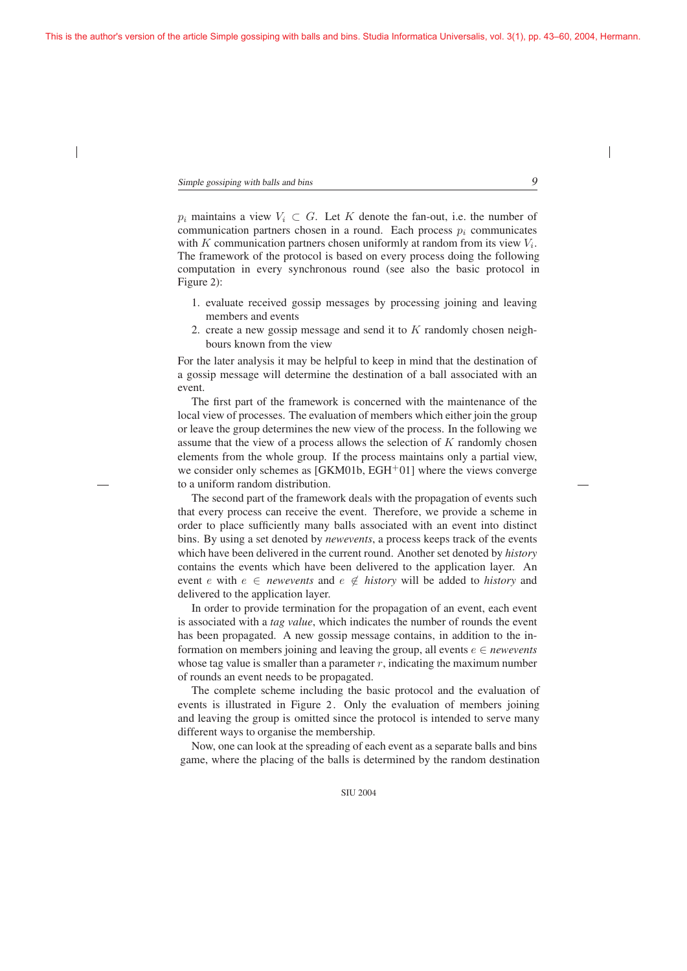$p_i$  maintains a view  $V_i \subset G$ . Let K denote the fan-out, i.e. the number of communication partners chosen in a round. Each process  $p_i$  communicates with K communication partners chosen uniformly at random from its view  $V_i$ . The framework of the protocol is based on every process doing the following computation in every synchronous round (see also the basic protocol in Figure 2):

- 1. evaluate received gossip messages by processing joining and leaving members and events
- 2. create a new gossip message and send it to K randomly chosen neighbours known from the view

For the later analysis it may be helpful to keep in mind that the destination of a gossip message will determine the destination of a ball associated with an event.

The first part of the framework is concerned with the maintenance of the local view of processes. The evaluation of members which either join the group or leave the group determines the new view of the process. In the following we assume that the view of a process allows the selection of  $K$  randomly chosen elements from the whole group. If the process maintains only a partial view, we consider only schemes as  $[GKM01b, EGH<sup>+</sup>01]$  where the views converge to a uniform random distribution.

The second part of the framework deals with the propagation of events such that every process can receive the event. Therefore, we provide a scheme in order to place sufficiently many balls associated with an event into distinct bins. By using a set denoted by *newevents*, a process keeps track of the events which have been delivered in the current round. Another set denoted by *history* contains the events which have been delivered to the application layer. An event *e* with  $e \in$  *newevents* and  $e \notin$  *history* will be added to *history* and delivered to the application layer.

In order to provide termination for the propagation of an event, each event is associated with a *tag value*, which indicates the number of rounds the event has been propagated. A new gossip message contains, in addition to the information on members joining and leaving the group, all events  $e \in *newevents*$ whose tag value is smaller than a parameter  $r$ , indicating the maximum number of rounds an event needs to be propagated.

The complete scheme including the basic protocol and the evaluation of events is illustrated in Figure 2. Only the evaluation of members joining and leaving the group is omitted since the protocol is intended to serve many different ways to organise the membership.

Now, one can look at the spreading of each event as a separate balls and bins game, where the placing of the balls is determined by the random destination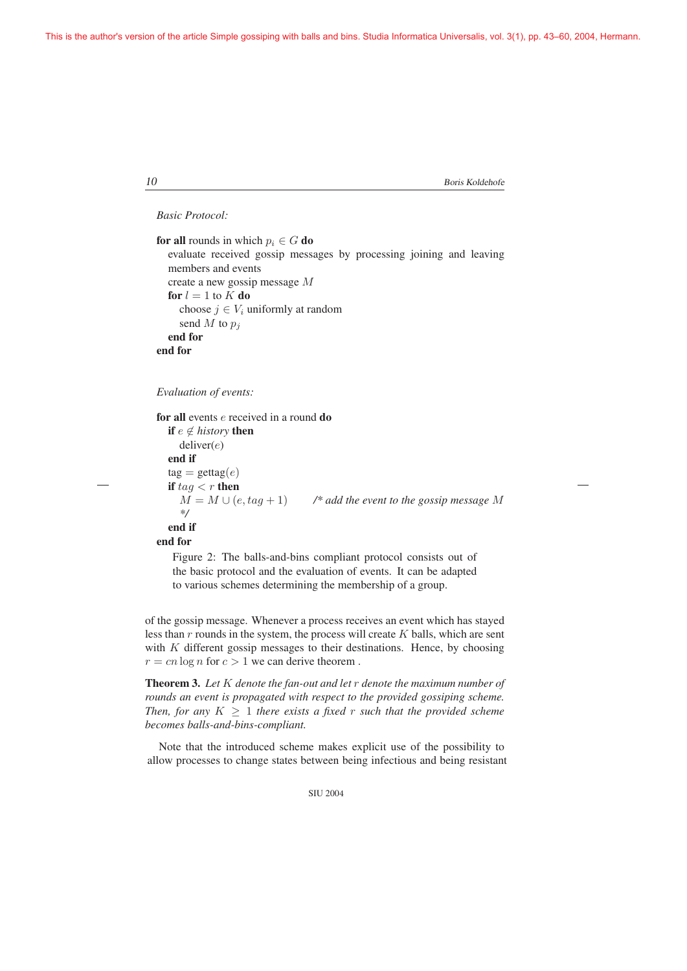*Basic Protocol:*

```
for all rounds in which p_i \in G do
  evaluate received gossip messages by processing joining and leaving
  members and events
  create a new gossip message M
  for l = 1 to K do
    choose j \in V_i uniformly at random
    send M to p_iend for
end for
```
*Evaluation of events:*

for all events e received in a round do if  $e \notin history$  then deliver(e) end if  $tag(e)$ if  $tag < r$  then  $M = M \cup (e, tag + 1)$  /\* add the event to the gossip message M *\*/* end if end for

Figure 2: The balls-and-bins compliant protocol consists out of the basic protocol and the evaluation of events. It can be adapted to various schemes determining the membership of a group.

of the gossip message. Whenever a process receives an event which has stayed less than  $r$  rounds in the system, the process will create  $K$  balls, which are sent with  $K$  different gossip messages to their destinations. Hence, by choosing  $r = cn \log n$  for  $c > 1$  we can derive theorem.

Theorem 3. *Let* K *denote the fan-out and let* r *denote the maximum number of rounds an event is propagated with respect to the provided gossiping scheme. Then, for any*  $K \geq 1$  *there exists a fixed r such that the provided scheme becomes balls-and-bins-compliant.*

Note that the introduced scheme makes explicit use of the possibility to allow processes to change states between being infectious and being resistant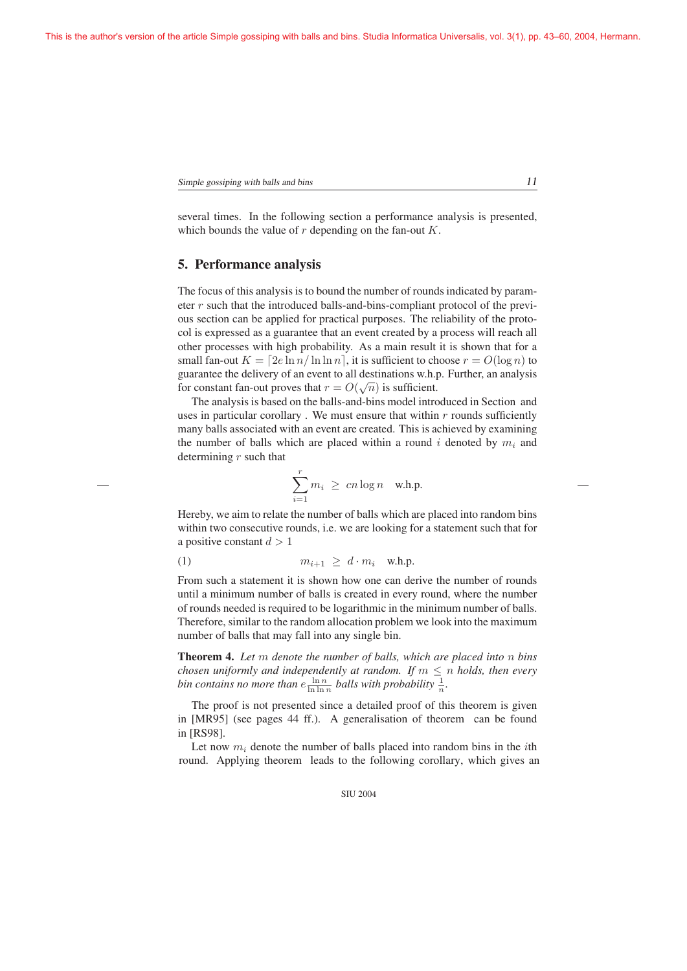several times. In the following section a performance analysis is presented, which bounds the value of  $r$  depending on the fan-out  $K$ .

#### 5. Performance analysis

The focus of this analysis is to bound the number of rounds indicated by parameter  $r$  such that the introduced balls-and-bins-compliant protocol of the previous section can be applied for practical purposes. The reliability of the protocol is expressed as a guarantee that an event created by a process will reach all other processes with high probability. As a main result it is shown that for a small fan-out  $K = \lfloor 2e \ln n / \ln \ln n \rfloor$ , it is sufficient to choose  $r = O(\log n)$  to guarantee the delivery of an event to all destinations w.h.p. Further, an analysis for constant fan-out proves that  $r = O(\sqrt{n})$  is sufficient.<br>The analysis is based on the balls-and-bins model intro

The analysis is based on the balls-and-bins model introduced in Section and uses in particular corollary. We must ensure that within  $r$  rounds sufficiently many balls associated with an event are created. This is achieved by examining the number of balls which are placed within a round i denoted by  $m_i$  and determining  $r$  such that

$$
\sum_{i=1}^r m_i \geq cn \log n \quad \text{w.h.p.}
$$

Hereby, we aim to relate the number of balls which are placed into random bins within two consecutive rounds, i.e. we are looking for a statement such that for a positive constant  $d > 1$ 

$$
(1) \t m_{i+1} \geq d \cdot m_i \t \text{w.h.p.}
$$

From such a statement it is shown how one can derive the number of rounds until a minimum number of balls is created in every round, where the number of rounds needed is required to be logarithmic in the minimum number of balls. Therefore, similar to the random allocation problem we look into the maximum number of balls that may fall into any single bin.

Theorem 4. *Let* m *denote the number of balls, which are placed into* n *bins chosen uniformly and independently at random. If*  $m \leq n$  *holds, then every* bin contains no more than  $e^{\frac{\ln n}{\ln \ln n}}$  balls with probability  $\frac{1}{n}$ .

The proof is not presented since a detailed proof of this theorem is given in [MR95] (see pages 44 ff.). A generalisation of theorem can be found in [RS98].

Let now  $m_i$  denote the number of balls placed into random bins in the *i*th round. Applying theorem leads to the following corollary, which gives an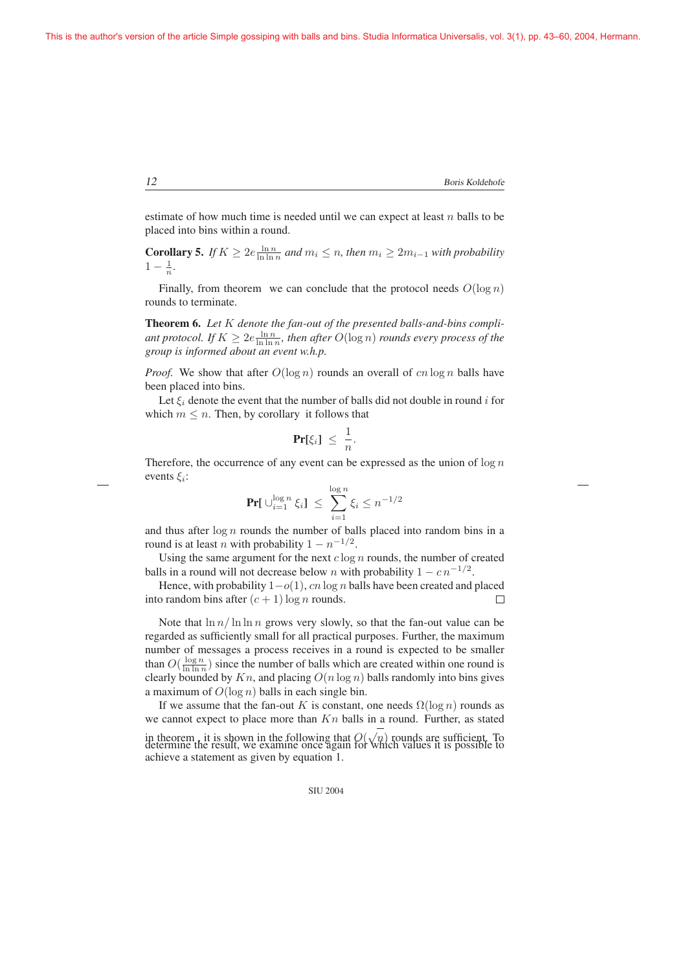estimate of how much time is needed until we can expect at least  $n$  balls to be placed into bins within a round.

**Corollary 5.** *If*  $K \ge 2e \frac{\ln n}{\ln \ln n}$  and  $m_i \le n$ , then  $m_i \ge 2m_{i-1}$  with probability  $1 - \frac{1}{n}$  $1 - \frac{1}{n}$ .

Finally, from theorem we can conclude that the protocol needs  $O(\log n)$ rounds to terminate.

Theorem 6. *Let* K *denote the fan-out of the presented balls-and-bins compli*ant protocol. If  $K \geq 2e \frac{\ln n}{\ln \ln n}$ , then after  $O(\log n)$  *rounds every process of the*<br>groun is informed about an event w h n *group is informed about an event w.h.p.*

*Proof.* We show that after  $O(\log n)$  rounds an overall of cn  $\log n$  balls have been placed into bins.

Let  $\xi_i$  denote the event that the number of balls did not double in round i for which  $m \leq n$ . Then, by corollary it follows that

$$
\Pr[\xi_i] \leq \frac{1}{n}.
$$

Therefore, the occurrence of any event can be expressed as the union of  $\log n$ events  $\xi$ :

$$
\Pr[\bigcup_{i=1}^{\log n} \xi_i] \le \sum_{i=1}^{\log n} \xi_i \le n^{-1/2}
$$

and thus after  $\log n$  rounds the number of balls placed into random bins in a round is at least n with probability  $1 - n^{-1/2}$ round is at least n with probability  $1 - n^{-1/2}$ .

Using the same argument for the next  $c \log n$  rounds, the number of created balls in a round will not decrease below *n* with probability  $1 - c n^{-1/2}$ .

Hence, with probability  $1-o(1)$ , *cn* log *n* balls have been created and placed o random bins after  $(c+1)$  log *n* rounds. into random bins after  $(c + 1) \log n$  rounds.

Note that  $\ln n / \ln \ln n$  grows very slowly, so that the fan-out value can be regarded as sufficiently small for all practical purposes. Further, the maximum number of messages a process receives in a round is expected to be smaller than  $O(\frac{\log n}{\ln \ln n})$  since the number of balls which are created within one round is<br>clearly bounded by Kn, and placing  $O(n \log n)$  balls randomly into bins gives clearly bounded by  $Kn$ , and placing  $O(n \log n)$  balls randomly into bins gives a maximum of  $O(\log n)$  balls in each single bin.

If we assume that the fan-out K is constant, one needs  $\Omega(\log n)$  rounds as we cannot expect to place more than  $Kn$  balls in a round. Further, as stated in theorem, it is shown in the following that  $O(\sqrt{n})$  rounds are sufficient. To determine the result, we examine once again for which values it is possible to achieve a statement as given by equation 1.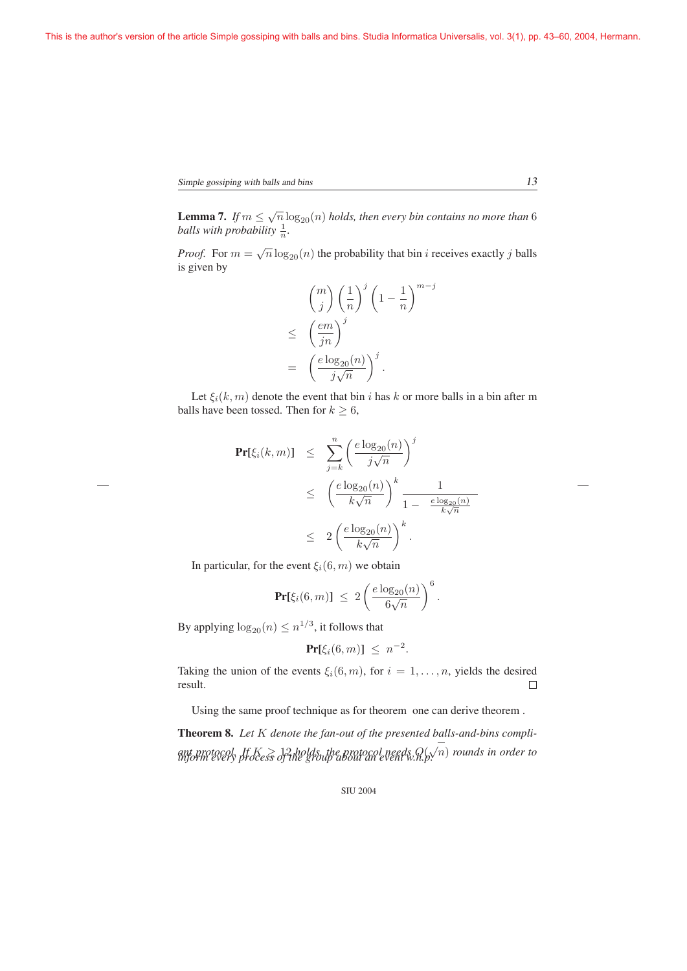**Lemma 7.** *If*  $m \leq \sqrt{n} \log_{20}(n)$  *holds, then every bin contains no more than* 6 *balls with probability*  $\frac{1}{n}$ *.* 

*Proof.* For  $m = \sqrt{n} \log_{20}(n)$  the probability that bin *i* receives exactly *j* balls is given by

$$
{m \choose j} \left(\frac{1}{n}\right)^j \left(1 - \frac{1}{n}\right)^{m-j}
$$
  

$$
\leq \left(\frac{em}{jn}\right)^j
$$
  

$$
= \left(\frac{e \log_{20}(n)}{j\sqrt{n}}\right)^j.
$$

Let  $\xi_i(k,m)$  denote the event that bin i has k or more balls in a bin after m balls have been tossed. Then for  $k \geq 6$ ,

$$
\begin{array}{rcl} \Pr[\xi_i(k,m)] & \leq & \sum_{j=k}^n \left(\frac{e \log_{20}(n)}{j\sqrt{n}}\right)^j \\ \\ & \leq & \left(\frac{e \log_{20}(n)}{k\sqrt{n}}\right)^k \frac{1}{1 - \frac{e \log_{20}(n)}{k\sqrt{n}}} \\ \\ & \leq & 2\left(\frac{e \log_{20}(n)}{k\sqrt{n}}\right)^k. \end{array}
$$

In particular, for the event  $\xi_i(6, m)$  we obtain

$$
\Pr[\xi_i(6,m)] \leq 2\left(\frac{e\log_{20}(n)}{6\sqrt{n}}\right)^6.
$$

By applying  $\log_{20}(n) \leq n^{1/3}$ , it follows that

$$
\Pr[\xi_i(6,m)] \leq n^{-2}.
$$

Taking the union of the events  $\xi_i(6, m)$ , for  $i = 1, ..., n$ , yields the desired result. result.

Using the same proof technique as for theorem one can derive theorem .

Theorem 8. *Let* K *denote the fan-out of the presented balls-and-bins compli*ant protocol. If  $K\geq 12$  holds, the protocol needs  $Q(\sqrt{n})$  rounds in order to<br>inform every process of the group about an event w.h.p.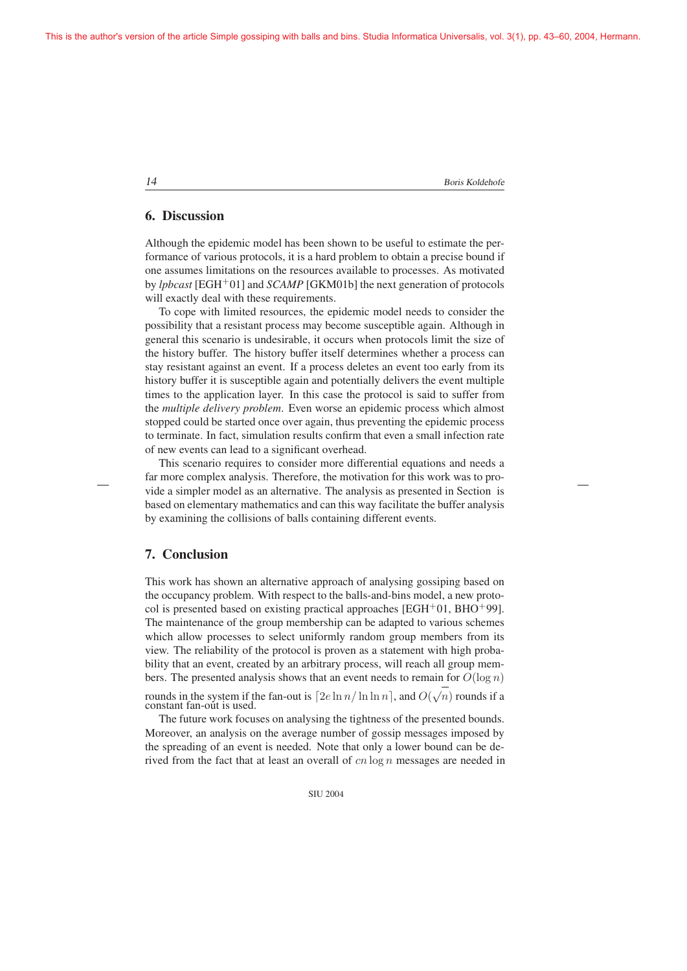#### 6. Discussion

Although the epidemic model has been shown to be useful to estimate the performance of various protocols, it is a hard problem to obtain a precise bound if one assumes limitations on the resources available to processes. As motivated by *lpbcast* [EGH+01] and *SCAMP* [GKM01b] the next generation of protocols will exactly deal with these requirements.

To cope with limited resources, the epidemic model needs to consider the possibility that a resistant process may become susceptible again. Although in general this scenario is undesirable, it occurs when protocols limit the size of the history buffer. The history buffer itself determines whether a process can stay resistant against an event. If a process deletes an event too early from its history buffer it is susceptible again and potentially delivers the event multiple times to the application layer. In this case the protocol is said to suffer from the *multiple delivery problem*. Even worse an epidemic process which almost stopped could be started once over again, thus preventing the epidemic process to terminate. In fact, simulation results confirm that even a small infection rate of new events can lead to a significant overhead.

This scenario requires to consider more differential equations and needs a far more complex analysis. Therefore, the motivation for this work was to provide a simpler model as an alternative. The analysis as presented in Section is based on elementary mathematics and can this way facilitate the buffer analysis by examining the collisions of balls containing different events.

# 7. Conclusion

This work has shown an alternative approach of analysing gossiping based on the occupancy problem. With respect to the balls-and-bins model, a new protocol is presented based on existing practical approaches [EGH+01, BHO+99]. The maintenance of the group membership can be adapted to various schemes which allow processes to select uniformly random group members from its view. The reliability of the protocol is proven as a statement with high probability that an event, created by an arbitrary process, will reach all group members. The presented analysis shows that an event needs to remain for  $O(\log n)$ 

rounds in the system if the fan-out is  $[2e \ln n / \ln \ln n]$ , and  $O(\sqrt{n})$  rounds if a constant fan-out is used. constant fan-out is used.

The future work focuses on analysing the tightness of the presented bounds. Moreover, an analysis on the average number of gossip messages imposed by the spreading of an event is needed. Note that only a lower bound can be derived from the fact that at least an overall of  $cn \log n$  messages are needed in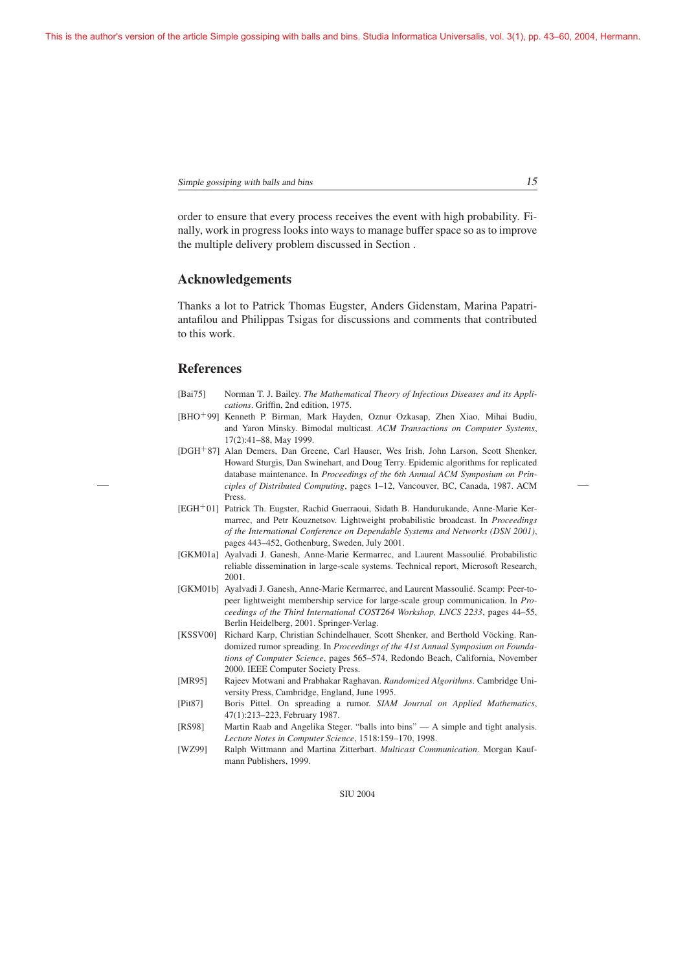Simple gossiping with balls and bins 15

order to ensure that every process receives the event with high probability. Finally, work in progress looks into ways to manage buffer space so as to improve the multiple delivery problem discussed in Section .

## Acknowledgements

Thanks a lot to Patrick Thomas Eugster, Anders Gidenstam, Marina Papatriantafilou and Philippas Tsigas for discussions and comments that contributed to this work.

### References

- [Bai75] Norman T. J. Bailey. *The Mathematical Theory of Infectious Diseases and its Applications*. Griffin, 2nd edition, 1975.
- [BHO+99] Kenneth P. Birman, Mark Hayden, Oznur Ozkasap, Zhen Xiao, Mihai Budiu, and Yaron Minsky. Bimodal multicast. *ACM Transactions on Computer Systems*, 17(2):41–88, May 1999.
- [DGH+87] Alan Demers, Dan Greene, Carl Hauser, Wes Irish, John Larson, Scott Shenker, Howard Sturgis, Dan Swinehart, and Doug Terry. Epidemic algorithms for replicated database maintenance. In *Proceedings of the 6th Annual ACM Symposium on Principles of Distributed Computing*, pages 1–12, Vancouver, BC, Canada, 1987. ACM Press.
- [EGH+01] Patrick Th. Eugster, Rachid Guerraoui, Sidath B. Handurukande, Anne-Marie Kermarrec, and Petr Kouznetsov. Lightweight probabilistic broadcast. In *Proceedings of the International Conference on Dependable Systems and Networks (DSN 2001)*, pages 443–452, Gothenburg, Sweden, July 2001.
- [GKM01a] Ayalvadi J. Ganesh, Anne-Marie Kermarrec, and Laurent Massoulie. Probabilistic ´ reliable dissemination in large-scale systems. Technical report, Microsoft Research, 2001.
- [GKM01b] Ayalvadi J. Ganesh, Anne-Marie Kermarrec, and Laurent Massoulie. Scamp: Peer-to- ´ peer lightweight membership service for large-scale group communication. In *Proceedings of the Third International COST264 Workshop, LNCS 2233*, pages 44–55, Berlin Heidelberg, 2001. Springer-Verlag.
- [KSSV00] Richard Karp, Christian Schindelhauer, Scott Shenker, and Berthold Vöcking. Randomized rumor spreading. In *Proceedings of the 41st Annual Symposium on Foundations of Computer Science*, pages 565–574, Redondo Beach, California, November 2000. IEEE Computer Society Press.
- [MR95] Rajeev Motwani and Prabhakar Raghavan. *Randomized Algorithms*. Cambridge University Press, Cambridge, England, June 1995.
- [Pit87] Boris Pittel. On spreading a rumor. *SIAM Journal on Applied Mathematics*, 47(1):213–223, February 1987.
- [RS98] Martin Raab and Angelika Steger. "balls into bins" A simple and tight analysis. *Lecture Notes in Computer Science*, 1518:159–170, 1998.
- [WZ99] Ralph Wittmann and Martina Zitterbart. *Multicast Communication*. Morgan Kaufmann Publishers, 1999.